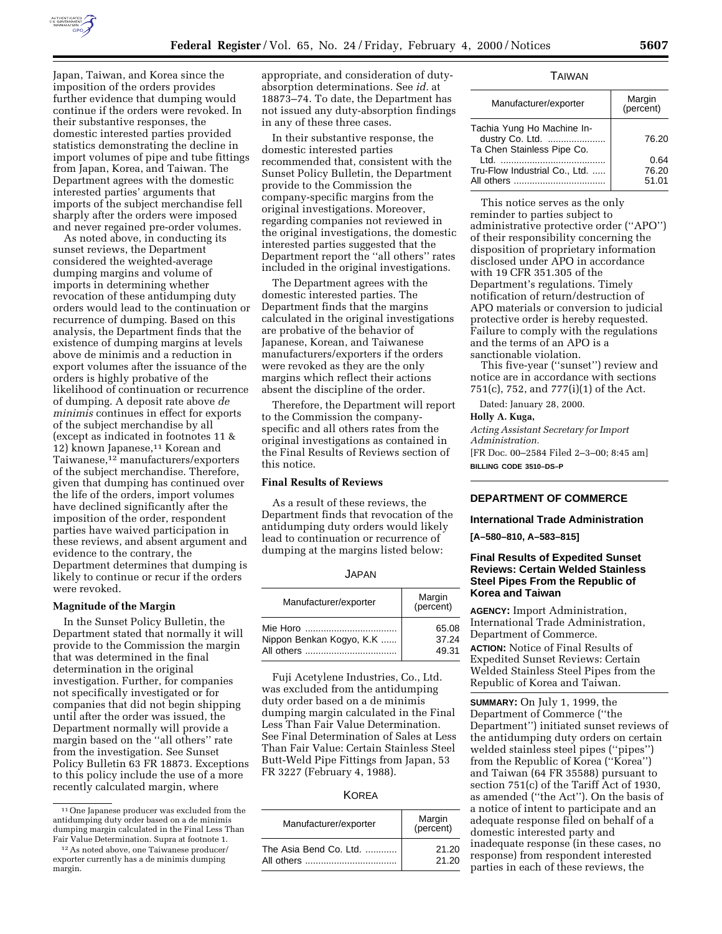

Japan, Taiwan, and Korea since the imposition of the orders provides further evidence that dumping would continue if the orders were revoked. In their substantive responses, the domestic interested parties provided statistics demonstrating the decline in import volumes of pipe and tube fittings from Japan, Korea, and Taiwan. The Department agrees with the domestic interested parties' arguments that imports of the subject merchandise fell sharply after the orders were imposed and never regained pre-order volumes.

As noted above, in conducting its sunset reviews, the Department considered the weighted-average dumping margins and volume of imports in determining whether revocation of these antidumping duty orders would lead to the continuation or recurrence of dumping. Based on this analysis, the Department finds that the existence of dumping margins at levels above de minimis and a reduction in export volumes after the issuance of the orders is highly probative of the likelihood of continuation or recurrence of dumping. A deposit rate above *de minimis* continues in effect for exports of the subject merchandise by all (except as indicated in footnotes 11 & 12) known Japanese,<sup>11</sup> Korean and Taiwanese,12 manufacturers/exporters of the subject merchandise. Therefore, given that dumping has continued over the life of the orders, import volumes have declined significantly after the imposition of the order, respondent parties have waived participation in these reviews, and absent argument and evidence to the contrary, the Department determines that dumping is likely to continue or recur if the orders were revoked.

#### **Magnitude of the Margin**

In the Sunset Policy Bulletin, the Department stated that normally it will provide to the Commission the margin that was determined in the final determination in the original investigation. Further, for companies not specifically investigated or for companies that did not begin shipping until after the order was issued, the Department normally will provide a margin based on the ''all others'' rate from the investigation. See Sunset Policy Bulletin 63 FR 18873. Exceptions to this policy include the use of a more recently calculated margin, where

appropriate, and consideration of dutyabsorption determinations. See *id.* at 18873–74. To date, the Department has not issued any duty-absorption findings in any of these three cases.

In their substantive response, the domestic interested parties recommended that, consistent with the Sunset Policy Bulletin, the Department provide to the Commission the company-specific margins from the original investigations. Moreover, regarding companies not reviewed in the original investigations, the domestic interested parties suggested that the Department report the ''all others'' rates included in the original investigations.

The Department agrees with the domestic interested parties. The Department finds that the margins calculated in the original investigations are probative of the behavior of Japanese, Korean, and Taiwanese manufacturers/exporters if the orders were revoked as they are the only margins which reflect their actions absent the discipline of the order.

Therefore, the Department will report to the Commission the companyspecific and all others rates from the original investigations as contained in the Final Results of Reviews section of this notice.

## **Final Results of Reviews**

As a result of these reviews, the Department finds that revocation of the antidumping duty orders would likely lead to continuation or recurrence of dumping at the margins listed below:

| I |  |  |
|---|--|--|
|---|--|--|

| Manufacturer/exporter    | Margin<br>(percent) |
|--------------------------|---------------------|
|                          | 65.08               |
| Nippon Benkan Kogyo, K.K | 37.24               |
|                          | 49.31               |

Fuji Acetylene Industries, Co., Ltd. was excluded from the antidumping duty order based on a de minimis dumping margin calculated in the Final Less Than Fair Value Determination. See Final Determination of Sales at Less Than Fair Value: Certain Stainless Steel Butt-Weld Pipe Fittings from Japan, 53 FR 3227 (February 4, 1988).

| Manufacturer/exporter  | Margin<br>(percent) |
|------------------------|---------------------|
| The Asia Bend Co. Ltd. | 21.20               |
| All others             | 21.20               |

## TAIWAN

| Manufacturer/exporter                                                       | Margin<br>(percent)    |
|-----------------------------------------------------------------------------|------------------------|
| Tachia Yung Ho Machine In-<br>dustry Co. Ltd.<br>Ta Chen Stainless Pipe Co. | 76.20                  |
| l td<br>Tru-Flow Industrial Co., Ltd.                                       | 0.64<br>76.20<br>51.01 |

This notice serves as the only reminder to parties subject to administrative protective order (''APO'') of their responsibility concerning the disposition of proprietary information disclosed under APO in accordance with 19 CFR 351.305 of the Department's regulations. Timely notification of return/destruction of APO materials or conversion to judicial protective order is hereby requested. Failure to comply with the regulations and the terms of an APO is a sanctionable violation.

This five-year (''sunset'') review and notice are in accordance with sections 751(c), 752, and 777(i)(1) of the Act.

Dated: January 28, 2000.

#### **Holly A. Kuga,**

*Acting Assistant Secretary for Import Administration.* [FR Doc. 00–2584 Filed 2–3–00; 8:45 am]

**BILLING CODE 3510–DS–P**

## **DEPARTMENT OF COMMERCE**

### **International Trade Administration**

**[A–580–810, A–583–815]**

## **Final Results of Expedited Sunset Reviews: Certain Welded Stainless Steel Pipes From the Republic of Korea and Taiwan**

**AGENCY:** Import Administration, International Trade Administration, Department of Commerce.

**ACTION:** Notice of Final Results of Expedited Sunset Reviews: Certain Welded Stainless Steel Pipes from the Republic of Korea and Taiwan.

**SUMMARY:** On July 1, 1999, the Department of Commerce (''the Department'') initiated sunset reviews of the antidumping duty orders on certain welded stainless steel pipes (''pipes'') from the Republic of Korea (''Korea'') and Taiwan (64 FR 35588) pursuant to section 751(c) of the Tariff Act of 1930, as amended (''the Act''). On the basis of a notice of intent to participate and an adequate response filed on behalf of a domestic interested party and inadequate response (in these cases, no response) from respondent interested parties in each of these reviews, the

<sup>11</sup>One Japanese producer was excluded from the antidumping duty order based on a de minimis dumping margin calculated in the Final Less Than Fair Value Determination. Supra at footnote 1.

<sup>12</sup>As noted above, one Taiwanese producer/ exporter currently has a de minimis dumping margin.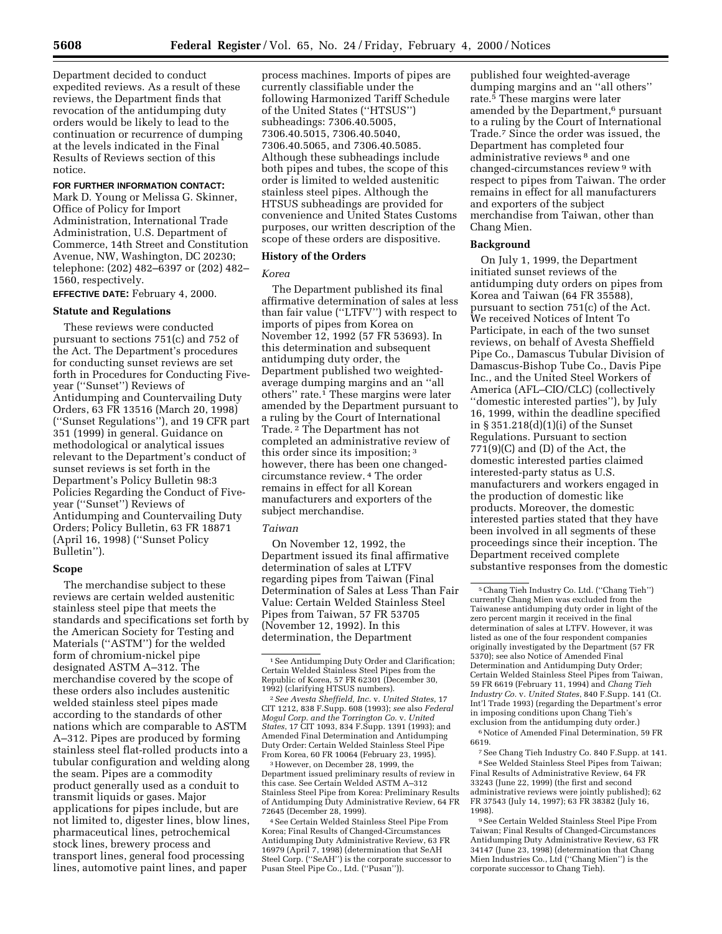Department decided to conduct expedited reviews. As a result of these reviews, the Department finds that revocation of the antidumping duty orders would be likely to lead to the continuation or recurrence of dumping at the levels indicated in the Final

### **FOR FURTHER INFORMATION CONTACT:**

Results of Reviews section of this

Mark D. Young or Melissa G. Skinner, Office of Policy for Import Administration, International Trade Administration, U.S. Department of Commerce, 14th Street and Constitution Avenue, NW, Washington, DC 20230; telephone: (202) 482–6397 or (202) 482– 1560, respectively.

**EFFECTIVE DATE:** February 4, 2000.

### **Statute and Regulations**

These reviews were conducted pursuant to sections 751(c) and 752 of the Act. The Department's procedures for conducting sunset reviews are set forth in Procedures for Conducting Fiveyear (''Sunset'') Reviews of Antidumping and Countervailing Duty Orders, 63 FR 13516 (March 20, 1998) (''Sunset Regulations''), and 19 CFR part 351 (1999) in general. Guidance on methodological or analytical issues relevant to the Department's conduct of sunset reviews is set forth in the Department's Policy Bulletin 98:3 Policies Regarding the Conduct of Fiveyear (''Sunset'') Reviews of Antidumping and Countervailing Duty Orders; Policy Bulletin, 63 FR 18871 (April 16, 1998) (''Sunset Policy Bulletin'').

#### **Scope**

The merchandise subject to these reviews are certain welded austenitic stainless steel pipe that meets the standards and specifications set forth by the American Society for Testing and Materials (''ASTM'') for the welded form of chromium-nickel pipe designated ASTM A–312. The merchandise covered by the scope of these orders also includes austenitic welded stainless steel pipes made according to the standards of other nations which are comparable to ASTM A–312. Pipes are produced by forming stainless steel flat-rolled products into a tubular configuration and welding along the seam. Pipes are a commodity product generally used as a conduit to transmit liquids or gases. Major applications for pipes include, but are not limited to, digester lines, blow lines, pharmaceutical lines, petrochemical stock lines, brewery process and transport lines, general food processing lines, automotive paint lines, and paper

process machines. Imports of pipes are currently classifiable under the following Harmonized Tariff Schedule of the United States (''HTSUS'') subheadings: 7306.40.5005, 7306.40.5015, 7306.40.5040, 7306.40.5065, and 7306.40.5085. Although these subheadings include both pipes and tubes, the scope of this order is limited to welded austenitic stainless steel pipes. Although the HTSUS subheadings are provided for convenience and United States Customs purposes, our written description of the scope of these orders are dispositive.

## **History of the Orders**

### *Korea*

The Department published its final affirmative determination of sales at less than fair value (''LTFV'') with respect to imports of pipes from Korea on November 12, 1992 (57 FR 53693). In this determination and subsequent antidumping duty order, the Department published two weightedaverage dumping margins and an ''all others'' rate.1 These margins were later amended by the Department pursuant to a ruling by the Court of International Trade. 2 The Department has not completed an administrative review of this order since its imposition; 3 however, there has been one changedcircumstance review. 4 The order remains in effect for all Korean manufacturers and exporters of the subject merchandise.

#### *Taiwan*

On November 12, 1992, the Department issued its final affirmative determination of sales at LTFV regarding pipes from Taiwan (Final Determination of Sales at Less Than Fair Value: Certain Welded Stainless Steel Pipes from Taiwan, 57 FR 53705 (November 12, 1992). In this determination, the Department

3However, on December 28, 1999, the Department issued preliminary results of review in this case. See Certain Welded ASTM A–312 Stainless Steel Pipe from Korea: Preliminary Results of Antidumping Duty Administrative Review, 64 FR 72645 (December 28, 1999).

4See Certain Welded Stainless Steel Pipe From Korea; Final Results of Changed-Circumstances Antidumping Duty Administrative Review, 63 FR 16979 (April 7, 1998) (determination that SeAH Steel Corp. (''SeAH'') is the corporate successor to Pusan Steel Pipe Co., Ltd. (''Pusan'')).

published four weighted-average dumping margins and an ''all others'' rate.5 These margins were later amended by the Department,<sup>6</sup> pursuant to a ruling by the Court of International Trade.7 Since the order was issued, the Department has completed four administrative reviews 8 and one changed-circumstances review 9 with respect to pipes from Taiwan. The order remains in effect for all manufacturers and exporters of the subject merchandise from Taiwan, other than Chang Mien.

### **Background**

On July 1, 1999, the Department initiated sunset reviews of the antidumping duty orders on pipes from Korea and Taiwan (64 FR 35588), pursuant to section 751(c) of the Act. We received Notices of Intent To Participate, in each of the two sunset reviews, on behalf of Avesta Sheffield Pipe Co., Damascus Tubular Division of Damascus-Bishop Tube Co., Davis Pipe Inc., and the United Steel Workers of America (AFL–CIO/CLC) (collectively ''domestic interested parties''), by July 16, 1999, within the deadline specified in § 351.218(d)(1)(i) of the Sunset Regulations. Pursuant to section  $771(9)(C)$  and  $(D)$  of the Act, the domestic interested parties claimed interested-party status as U.S. manufacturers and workers engaged in the production of domestic like products. Moreover, the domestic interested parties stated that they have been involved in all segments of these proceedings since their inception. The Department received complete substantive responses from the domestic

 $^6\rm\, Notice$  of Amended Final Determination, 59 FR 6619.

7See Chang Tieh Industry Co. 840 F.Supp. at 141. 8See Welded Stainless Steel Pipes from Taiwan; Final Results of Administrative Review, 64 FR 33243 (June 22, 1999) (the first and second administrative reviews were jointly published); 62 FR 37543 (July 14, 1997); 63 FR 38382 (July 16, 1998).

9See Certain Welded Stainless Steel Pipe From Taiwan; Final Results of Changed-Circumstances Antidumping Duty Administrative Review, 63 FR 34147 (June 23, 1998) (determination that Chang Mien Industries Co., Ltd (''Chang Mien'') is the corporate successor to Chang Tieh).

notice.

<sup>&</sup>lt;sup>1</sup> See Antidumping Duty Order and Clarification;<br>Certain Welded Stainless Steel Pipes from the Republic of Korea, 57 FR 62301 (December 30, 1992) (clarifying HTSUS numbers).

<sup>2</sup>*See Avesta Sheffield, Inc.* v. *United States*, 17 CIT 1212, 838 F.Supp. 608 (1993); *see* also *Federal Mogul Corp. and the Torrington Co.* v. *United States*, 17 CIT 1093, 834 F.Supp. 1391 (1993); and Amended Final Determination and Antidumping Duty Order: Certain Welded Stainless Steel Pipe From Korea, 60 FR 10064 (February 23, 1995).

<sup>5</sup>Chang Tieh Industry Co. Ltd. (''Chang Tieh'') currently Chang Mien was excluded from the Taiwanese antidumping duty order in light of the zero percent margin it received in the final determination of sales at LTFV. However, it was listed as one of the four respondent companies originally investigated by the Department (57 FR 5370); see also Notice of Amended Final Determination and Antidumping Duty Order; Certain Welded Stainless Steel Pipes from Taiwan, 59 FR 6619 (February 11, 1994) and *Chang Tieh Industry Co.* v. *United States*, 840 F.Supp. 141 (Ct. Int'l Trade 1993) (regarding the Department's error in imposing conditions upon Chang Tieh's exclusion from the antidumping duty order.)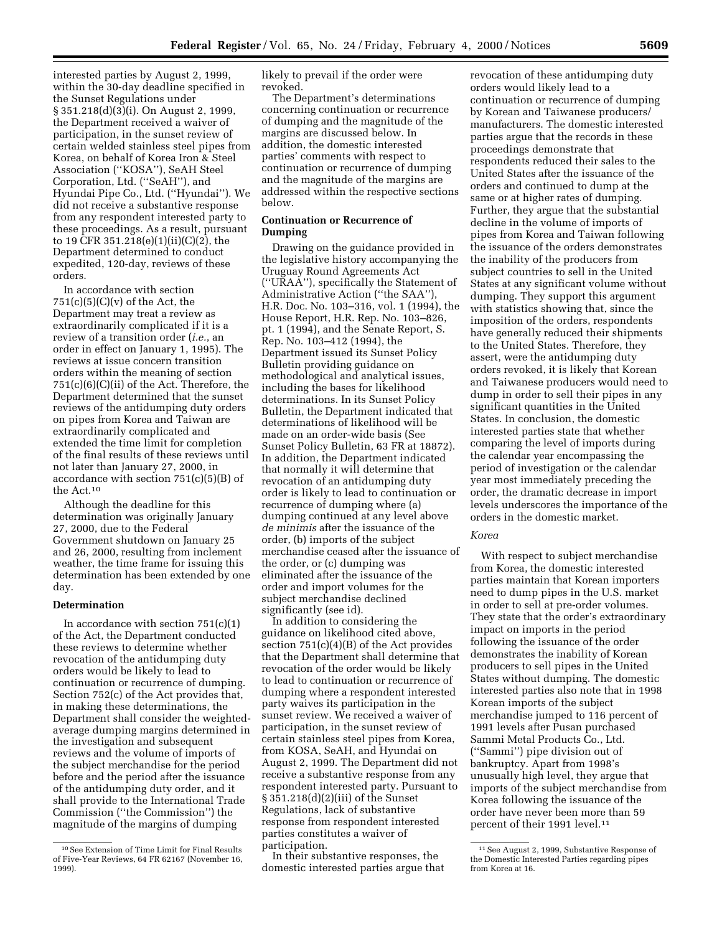interested parties by August 2, 1999, within the 30-day deadline specified in the Sunset Regulations under § 351.218(d)(3)(i). On August 2, 1999, the Department received a waiver of participation, in the sunset review of certain welded stainless steel pipes from Korea, on behalf of Korea Iron & Steel Association (''KOSA''), SeAH Steel Corporation, Ltd. (''SeAH''), and Hyundai Pipe Co., Ltd. (''Hyundai''). We did not receive a substantive response from any respondent interested party to these proceedings. As a result, pursuant to 19 CFR 351.218(e)(1)(ii)(C)(2), the Department determined to conduct expedited, 120-day, reviews of these orders.

In accordance with section  $751(c)(5)(c)(v)$  of the Act, the Department may treat a review as extraordinarily complicated if it is a review of a transition order (*i.e.*, an order in effect on January 1, 1995). The reviews at issue concern transition orders within the meaning of section 751(c)(6)(C)(ii) of the Act. Therefore, the Department determined that the sunset reviews of the antidumping duty orders on pipes from Korea and Taiwan are extraordinarily complicated and extended the time limit for completion of the final results of these reviews until not later than January 27, 2000, in accordance with section  $751(c)(5)(B)$  of the Act.10

Although the deadline for this determination was originally January 27, 2000, due to the Federal Government shutdown on January 25 and 26, 2000, resulting from inclement weather, the time frame for issuing this determination has been extended by one day.

# **Determination**

In accordance with section  $751(c)(1)$ of the Act, the Department conducted these reviews to determine whether revocation of the antidumping duty orders would be likely to lead to continuation or recurrence of dumping. Section 752(c) of the Act provides that, in making these determinations, the Department shall consider the weightedaverage dumping margins determined in the investigation and subsequent reviews and the volume of imports of the subject merchandise for the period before and the period after the issuance of the antidumping duty order, and it shall provide to the International Trade Commission (''the Commission'') the magnitude of the margins of dumping

likely to prevail if the order were revoked.

The Department's determinations concerning continuation or recurrence of dumping and the magnitude of the margins are discussed below. In addition, the domestic interested parties' comments with respect to continuation or recurrence of dumping and the magnitude of the margins are addressed within the respective sections below.

# **Continuation or Recurrence of Dumping**

Drawing on the guidance provided in the legislative history accompanying the Uruguay Round Agreements Act (''URAA''), specifically the Statement of Administrative Action (''the SAA''), H.R. Doc. No. 103–316, vol. 1 (1994), the House Report, H.R. Rep. No. 103–826, pt. 1 (1994), and the Senate Report, S. Rep. No. 103–412 (1994), the Department issued its Sunset Policy Bulletin providing guidance on methodological and analytical issues, including the bases for likelihood determinations. In its Sunset Policy Bulletin, the Department indicated that determinations of likelihood will be made on an order-wide basis (See Sunset Policy Bulletin, 63 FR at 18872). In addition, the Department indicated that normally it will determine that revocation of an antidumping duty order is likely to lead to continuation or recurrence of dumping where (a) dumping continued at any level above *de minimis* after the issuance of the order, (b) imports of the subject merchandise ceased after the issuance of the order, or (c) dumping was eliminated after the issuance of the order and import volumes for the subject merchandise declined significantly (see id).

In addition to considering the guidance on likelihood cited above, section 751(c)(4)(B) of the Act provides that the Department shall determine that revocation of the order would be likely to lead to continuation or recurrence of dumping where a respondent interested party waives its participation in the sunset review. We received a waiver of participation, in the sunset review of certain stainless steel pipes from Korea, from KOSA, SeAH, and Hyundai on August 2, 1999. The Department did not receive a substantive response from any respondent interested party. Pursuant to § 351.218(d)(2)(iii) of the Sunset Regulations, lack of substantive response from respondent interested parties constitutes a waiver of participation.

In their substantive responses, the domestic interested parties argue that

revocation of these antidumping duty orders would likely lead to a continuation or recurrence of dumping by Korean and Taiwanese producers/ manufacturers. The domestic interested parties argue that the records in these proceedings demonstrate that respondents reduced their sales to the United States after the issuance of the orders and continued to dump at the same or at higher rates of dumping. Further, they argue that the substantial decline in the volume of imports of pipes from Korea and Taiwan following the issuance of the orders demonstrates the inability of the producers from subject countries to sell in the United States at any significant volume without dumping. They support this argument with statistics showing that, since the imposition of the orders, respondents have generally reduced their shipments to the United States. Therefore, they assert, were the antidumping duty orders revoked, it is likely that Korean and Taiwanese producers would need to dump in order to sell their pipes in any significant quantities in the United States. In conclusion, the domestic interested parties state that whether comparing the level of imports during the calendar year encompassing the period of investigation or the calendar year most immediately preceding the order, the dramatic decrease in import levels underscores the importance of the orders in the domestic market.

## *Korea*

With respect to subject merchandise from Korea, the domestic interested parties maintain that Korean importers need to dump pipes in the U.S. market in order to sell at pre-order volumes. They state that the order's extraordinary impact on imports in the period following the issuance of the order demonstrates the inability of Korean producers to sell pipes in the United States without dumping. The domestic interested parties also note that in 1998 Korean imports of the subject merchandise jumped to 116 percent of 1991 levels after Pusan purchased Sammi Metal Products Co., Ltd. (''Sammi'') pipe division out of bankruptcy. Apart from 1998's unusually high level, they argue that imports of the subject merchandise from Korea following the issuance of the order have never been more than 59 percent of their 1991 level.<sup>11</sup>

<sup>10</sup>See Extension of Time Limit for Final Results of Five-Year Reviews, 64 FR 62167 (November 16, 1999).

<sup>11</sup>See August 2, 1999, Substantive Response of the Domestic Interested Parties regarding pipes from Korea at 16.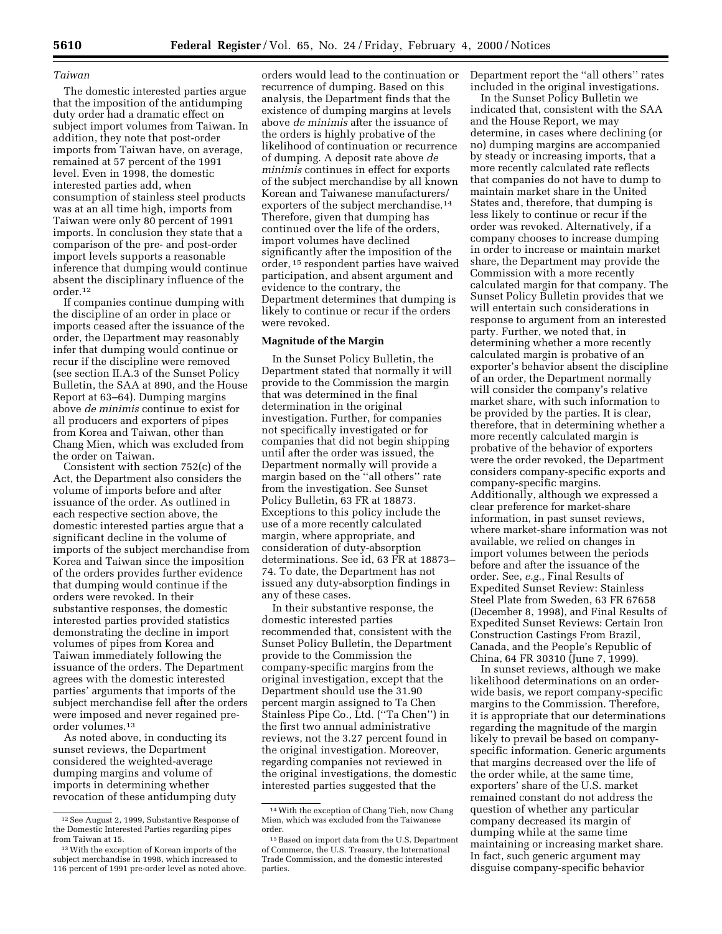### *Taiwan*

The domestic interested parties argue that the imposition of the antidumping duty order had a dramatic effect on subject import volumes from Taiwan. In addition, they note that post-order imports from Taiwan have, on average, remained at 57 percent of the 1991 level. Even in 1998, the domestic interested parties add, when consumption of stainless steel products was at an all time high, imports from Taiwan were only 80 percent of 1991 imports. In conclusion they state that a comparison of the pre- and post-order import levels supports a reasonable inference that dumping would continue absent the disciplinary influence of the order.12

If companies continue dumping with the discipline of an order in place or imports ceased after the issuance of the order, the Department may reasonably infer that dumping would continue or recur if the discipline were removed (see section II.A.3 of the Sunset Policy Bulletin, the SAA at 890, and the House Report at 63–64). Dumping margins above *de minimis* continue to exist for all producers and exporters of pipes from Korea and Taiwan, other than Chang Mien, which was excluded from the order on Taiwan.

Consistent with section 752(c) of the Act, the Department also considers the volume of imports before and after issuance of the order. As outlined in each respective section above, the domestic interested parties argue that a significant decline in the volume of imports of the subject merchandise from Korea and Taiwan since the imposition of the orders provides further evidence that dumping would continue if the orders were revoked. In their substantive responses, the domestic interested parties provided statistics demonstrating the decline in import volumes of pipes from Korea and Taiwan immediately following the issuance of the orders. The Department agrees with the domestic interested parties' arguments that imports of the subject merchandise fell after the orders were imposed and never regained preorder volumes.13

As noted above, in conducting its sunset reviews, the Department considered the weighted-average dumping margins and volume of imports in determining whether revocation of these antidumping duty

orders would lead to the continuation or recurrence of dumping. Based on this analysis, the Department finds that the existence of dumping margins at levels above *de minimis* after the issuance of the orders is highly probative of the likelihood of continuation or recurrence of dumping. A deposit rate above *de minimis* continues in effect for exports of the subject merchandise by all known Korean and Taiwanese manufacturers/ exporters of the subject merchandise.14 Therefore, given that dumping has continued over the life of the orders, import volumes have declined significantly after the imposition of the order, 15 respondent parties have waived participation, and absent argument and evidence to the contrary, the Department determines that dumping is likely to continue or recur if the orders were revoked.

# **Magnitude of the Margin**

In the Sunset Policy Bulletin, the Department stated that normally it will provide to the Commission the margin that was determined in the final determination in the original investigation. Further, for companies not specifically investigated or for companies that did not begin shipping until after the order was issued, the Department normally will provide a margin based on the ''all others'' rate from the investigation. See Sunset Policy Bulletin, 63 FR at 18873. Exceptions to this policy include the use of a more recently calculated margin, where appropriate, and consideration of duty-absorption determinations. See id, 63 FR at 18873– 74. To date, the Department has not issued any duty-absorption findings in any of these cases.

In their substantive response, the domestic interested parties recommended that, consistent with the Sunset Policy Bulletin, the Department provide to the Commission the company-specific margins from the original investigation, except that the Department should use the 31.90 percent margin assigned to Ta Chen Stainless Pipe Co., Ltd. (''Ta Chen'') in the first two annual administrative reviews, not the 3.27 percent found in the original investigation. Moreover, regarding companies not reviewed in the original investigations, the domestic interested parties suggested that the

Department report the ''all others'' rates included in the original investigations.

In the Sunset Policy Bulletin we indicated that, consistent with the SAA and the House Report, we may determine, in cases where declining (or no) dumping margins are accompanied by steady or increasing imports, that a more recently calculated rate reflects that companies do not have to dump to maintain market share in the United States and, therefore, that dumping is less likely to continue or recur if the order was revoked. Alternatively, if a company chooses to increase dumping in order to increase or maintain market share, the Department may provide the Commission with a more recently calculated margin for that company. The Sunset Policy Bulletin provides that we will entertain such considerations in response to argument from an interested party. Further, we noted that, in determining whether a more recently calculated margin is probative of an exporter's behavior absent the discipline of an order, the Department normally will consider the company's relative market share, with such information to be provided by the parties. It is clear, therefore, that in determining whether a more recently calculated margin is probative of the behavior of exporters were the order revoked, the Department considers company-specific exports and company-specific margins. Additionally, although we expressed a clear preference for market-share information, in past sunset reviews, where market-share information was not available, we relied on changes in import volumes between the periods before and after the issuance of the order. See, *e.g.*, Final Results of Expedited Sunset Review: Stainless Steel Plate from Sweden, 63 FR 67658 (December 8, 1998), and Final Results of Expedited Sunset Reviews: Certain Iron Construction Castings From Brazil, Canada, and the People's Republic of China, 64 FR 30310 (June 7, 1999).

In sunset reviews, although we make likelihood determinations on an orderwide basis, we report company-specific margins to the Commission. Therefore, it is appropriate that our determinations regarding the magnitude of the margin likely to prevail be based on companyspecific information. Generic arguments that margins decreased over the life of the order while, at the same time, exporters' share of the U.S. market remained constant do not address the question of whether any particular company decreased its margin of dumping while at the same time maintaining or increasing market share. In fact, such generic argument may disguise company-specific behavior

<sup>12</sup>See August 2, 1999, Substantive Response of the Domestic Interested Parties regarding pipes from Taiwan at 15.

<sup>13</sup>With the exception of Korean imports of the subject merchandise in 1998, which increased to 116 percent of 1991 pre-order level as noted above.

<sup>14</sup>With the exception of Chang Tieh, now Chang Mien, which was excluded from the Taiwanese order.

<sup>15</sup>Based on import data from the U.S. Department of Commerce, the U.S. Treasury, the International Trade Commission, and the domestic interested parties.